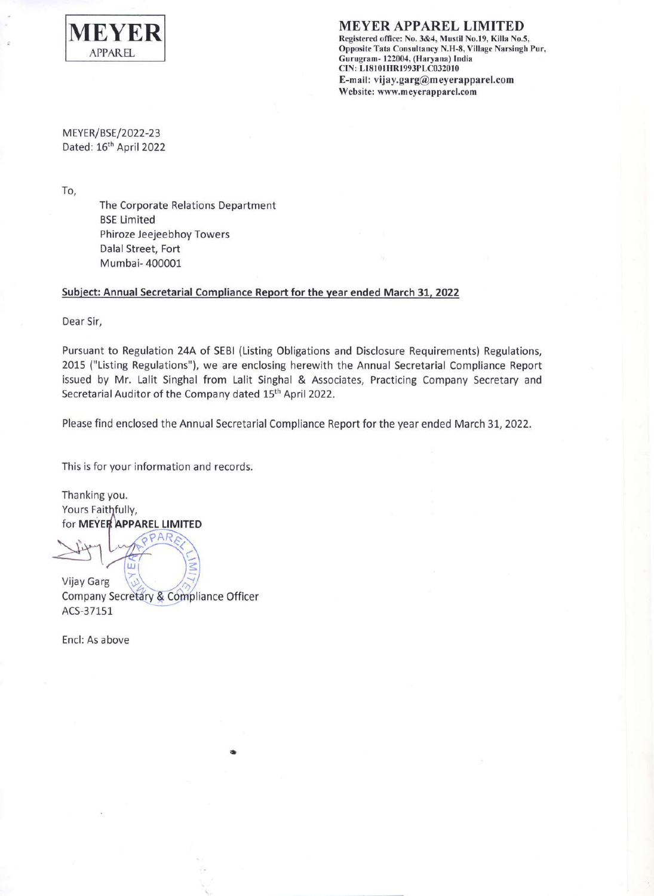

MEYER APPAREL LIMITED Registered office: No. 3&4, Mustil No.19, Killa No.5, Opposite Tata Consultancy N.H-8, Village Narsingh Pur, Gurugram- 122004, (Haryana) India CIN: L18101 HRl993PLC032010 E-mail: vijay.garg@meyerapparel.com Website: www.meyerapparel.com

MEYER/BSE/2022-23 Dated: 16<sup>th</sup> April 2022

To,

The Corporate Relations Department BSE Limited Phiroze Jeejeebhoy Towers Dalal Street, Fort Mumbai- 400001

## Subject: Annual Secretarial Compliance Report for the year ended March 31, 2022

Dear Sir,

Pursuant to Regulation 24A of SEBI (Listing Obligations and Disclosure Requirements) Regulations, <sup>2015</sup> ("Listing Regulations"), we are enclosing herewith the Annual Secretarial Compliance Report issued by Mr. Lalit Singhal from Lalit Singhal & Associates, Practicing Company Secretary and Secretarial Auditor of the Company dated 15<sup>th</sup> April 2022.

Please find enclosed the Annual Secretarial Compliance Report for the year ended March 31, 2022.

This is for your information and records.

Thanking you. Yours Faithfully, for MEYER APPAREL LIMITED

Vijay Garg

Company Secretary & Compliance Officer ACS-37151

•

Encl: As above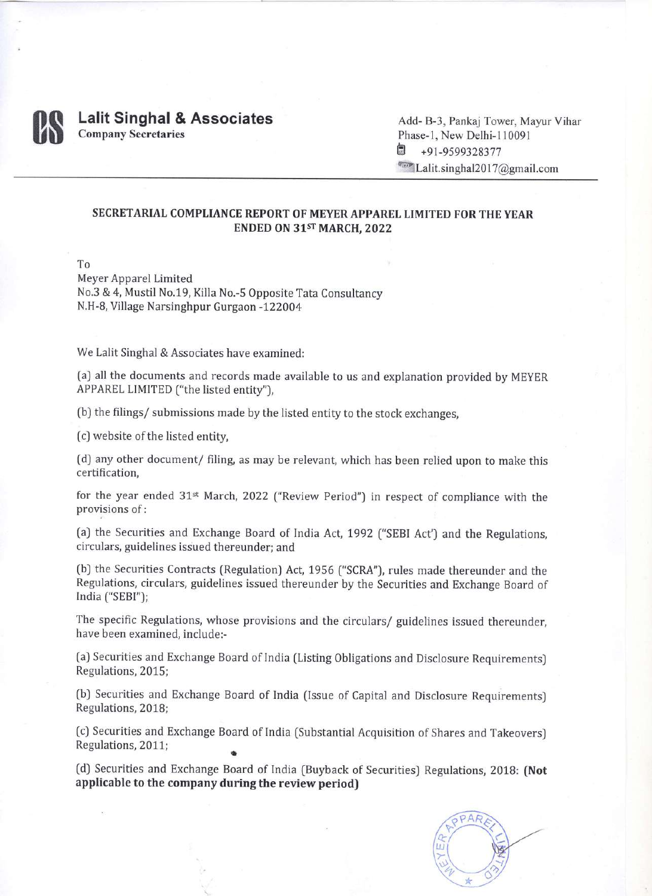

## **Lalit Singhal & Associates** Company Secretaries

Add- B-3, Pankaj Tower, Mayur Vihar Phase-1, New Delhi-110091 ? +91-9599328377 **Cone Lalit.singhal2017@gmail.com** 

## SECRETARIAL COMPLIANCE REPORT OF MEYER APPAREL LIMITED FOR THE YEAR ENDED ON 31ST MARCH, 2022

To

Meyer Apparel Limited No.3 & 4, Mustil No.19, Killa No.-5 Opposite Tata Consultancy N.H-8, Village Narsinghpur Gurgaon -122004

We Lalit Singhal & Associates have examined:

(a) all the documents and records made available to us and explanation provided by MEYER APPAREL LIMITED ("the listed entity"),

(b) the filings/ submissions made by the listed entity to the stock exchanges,

(c) website of the listed entity,

(d) any other document/ filing, as may be relevant, which has been relied upon to make this certification,

for the year ended 31st March, 2022 ("Review Period") in respect of compliance with the provisions of:

(a) the Securities and Exchange Board of India Act, <sup>1992</sup> ("SEBI Act') and the Regulations, circulars, guidelines issued thereunder; and

(b) the Securities Contracts (Regulation) Act, 1956 ("SCRA"), rules made thereunder and the Regulations, circulars, guidelines issued thereunder by the Securities and Exchange Board of India ("SEBI");

The specific Regulations, whose provisions and the circulars/ guidelines issued thereunder, have been examined, include:-

(a) Securities and Exchange Board of India (Listing Obligations and Disclosure Requirements) Regulations, 2015;

(b) Securities and Exchange Board of India (Issue of Capital and Disclosure Requirements) Regulations, 2018;

• (c) Securities and Exchange Board of India (Substantial Acquisition of Shares and Takeovers) Regulations, 2011;

(d) Securities and Exchange Board of India (Buyback of Securities) Regulations, 2018: (Not applicable to the company during the review period)

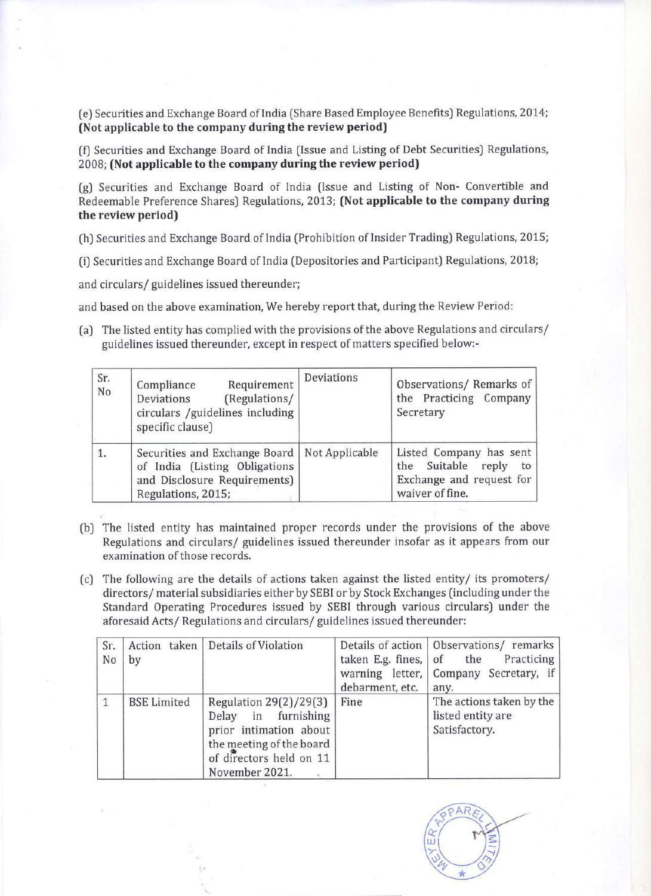(e) Securities and Exchange Board of India (Share Based Employee Benefits) Regulations, 2014; (Not applicable to the company during the review period)

(f) Securities and Exchange Board of India (Issue and Listing of Debt Securities) Regulations, 2008; (Not applicable to the company during the review period)

(g) Securities and Exchange Board of India (Issue and Listing of Non- Convertible and Redeemable Preference Shares) Regulations, 2013; (Not applicable to the company during the review period)

(h) Securities and Exchange Board of India (Prohibition of Insider Trading) Regulations, 2015;

(i) Securities and Exchange Board of India (Depositories and Participant) Regulations, 2018;

and circulars/ guidelines issued thereunder;

and based on the above examination, We hereby report that, during the Review Period:

(a) The listed entity has complied with the provisions of the above Regulations and circulars/ guidelines issued thereunder, except in respect of matters specified below:-

| Sr.<br>No | Requirement<br>Compliance<br>(Regulations/<br>Deviations<br>circulars /guidelines including<br>specific clause)                       | Deviations | Observations/ Remarks of<br>the Practicing Company<br>Secretary                                 |
|-----------|---------------------------------------------------------------------------------------------------------------------------------------|------------|-------------------------------------------------------------------------------------------------|
|           | Securities and Exchange Board   Not Applicable<br>of India (Listing Obligations<br>and Disclosure Requirements)<br>Regulations, 2015; |            | Listed Company has sent<br>the Suitable reply to<br>Exchange and request for<br>waiver of fine. |

- (b) The listed entity has maintained proper records under the provisions of the above Regulations and circulars/ guidelines issued thereunder insofar as it appears from our examination of those records.
- (c) The following are the details of actions taken against the listed entity/ its promoters/ directors/ material subsidiaries either by SEBI or by Stock Exchanges (including under the Standard Operating Procedures issued by SEBI through various circulars) under the aforesaid Acts/ Regulations and circulars/ guidelines issued thereunder:

| Sr.<br>No    | by                 | Action taken   Details of Violation                                                                                                              | taken E.g. fines, $\vert$ of the<br>debarment, etc. | Details of action   Observations/ remarks<br>Practicing<br>warning letter, Company Secretary, if<br>any. |
|--------------|--------------------|--------------------------------------------------------------------------------------------------------------------------------------------------|-----------------------------------------------------|----------------------------------------------------------------------------------------------------------|
| $\mathbf{1}$ | <b>BSE Limited</b> | Regulation 29(2)/29(3)<br>Delay in furnishing<br>prior intimation about<br>the meeting of the board<br>of directors held on 11<br>November 2021. | Fine                                                | The actions taken by the<br>listed entity are<br>Satisfactory.                                           |